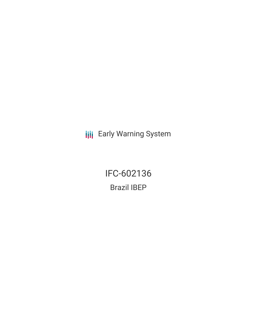**III** Early Warning System

IFC-602136 Brazil IBEP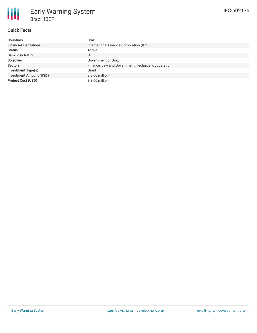# **Quick Facts**

| <b>Countries</b>               | Brazil                                             |
|--------------------------------|----------------------------------------------------|
| <b>Financial Institutions</b>  | International Finance Corporation (IFC)            |
| <b>Status</b>                  | Active                                             |
| <b>Bank Risk Rating</b>        | U                                                  |
| <b>Borrower</b>                | Government of Brazil                               |
| <b>Sectors</b>                 | Finance, Law and Government, Technical Cooperation |
| <b>Investment Type(s)</b>      | Grant                                              |
| <b>Investment Amount (USD)</b> | $$3.60$ million                                    |
| <b>Project Cost (USD)</b>      | $$3.60$ million                                    |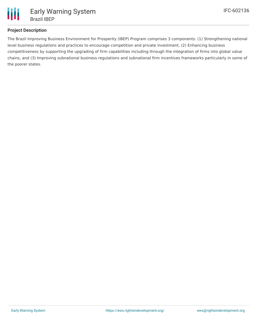

### **Project Description**

The Brazil Improving Business Environment for Prosperity (IBEP) Program comprises 3 components: (1) Strengthening national level business regulations and practices to encourage competition and private investment, (2) Enhancing business competitiveness by supporting the upgrading of firm capabilities including through the integration of firms into global value chains, and (3) Improving subnational business regulations and subnational firm incentives frameworks particularly in some of the poorer states.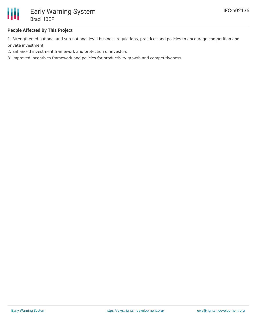

### **People Affected By This Project**

1. Strengthened national and sub-national level business regulations, practices and policies to encourage competition and private investment

- 2. Enhanced investment framework and protection of investors
- 3. Improved incentives framework and policies for productivity growth and competitiveness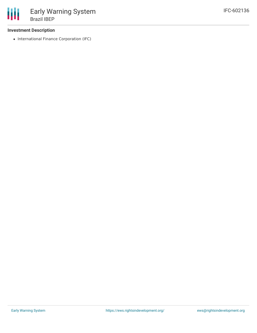#### **Investment Description**

• International Finance Corporation (IFC)